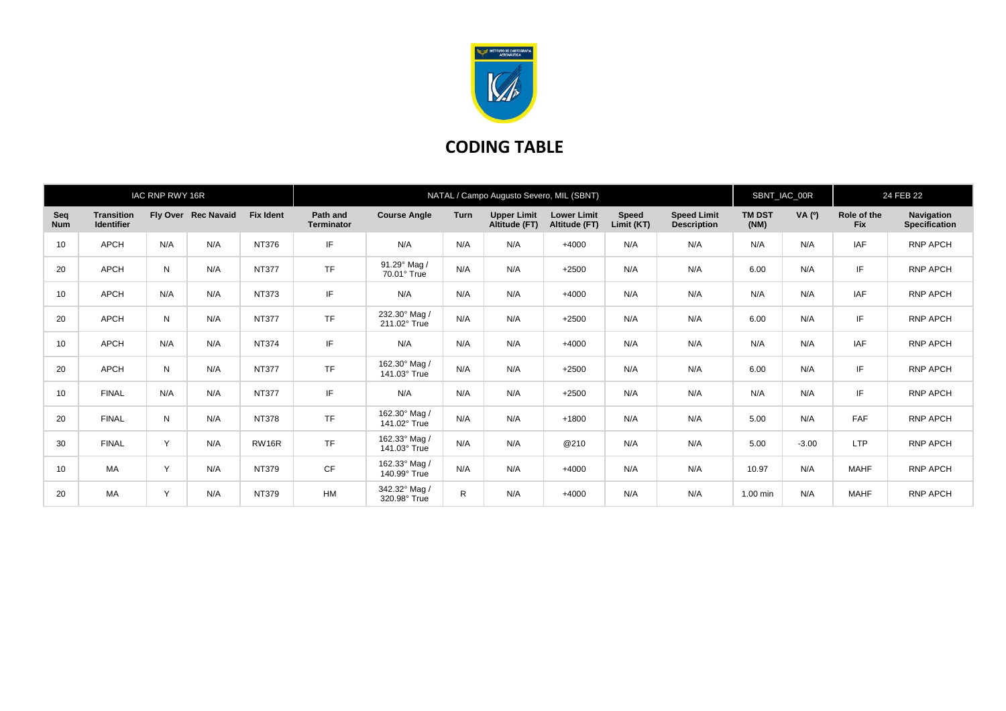

## **CODING TABLE**

| IAC RNP RWY 16R   |                                        |     |                     |                  | NATAL / Campo Augusto Severo, MIL (SBNT) |                                    |             |                                     |                                     |                            |                                          |                       | SBNT_IAC_00R |                           | 24 FEB 22                          |  |
|-------------------|----------------------------------------|-----|---------------------|------------------|------------------------------------------|------------------------------------|-------------|-------------------------------------|-------------------------------------|----------------------------|------------------------------------------|-----------------------|--------------|---------------------------|------------------------------------|--|
| Seq<br><b>Num</b> | <b>Transition</b><br><b>Identifier</b> |     | Fly Over Rec Navaid | <b>Fix Ident</b> | Path and<br><b>Terminator</b>            | <b>Course Angle</b>                | <b>Turn</b> | <b>Upper Limit</b><br>Altitude (FT) | <b>Lower Limit</b><br>Altitude (FT) | <b>Speed</b><br>Limit (KT) | <b>Speed Limit</b><br><b>Description</b> | <b>TM DST</b><br>(NM) | VA (0)       | Role of the<br><b>Fix</b> | Navigation<br><b>Specification</b> |  |
| 10                | <b>APCH</b>                            | N/A | N/A                 | NT376            | IF                                       | N/A                                | N/A         | N/A                                 | $+4000$                             | N/A                        | N/A                                      | N/A                   | N/A          | <b>IAF</b>                | <b>RNP APCH</b>                    |  |
| 20                | <b>APCH</b>                            | N   | N/A                 | <b>NT377</b>     | <b>TF</b>                                | 91.29° Mag /<br>$70.01^\circ$ True | N/A         | N/A                                 | $+2500$                             | N/A                        | N/A                                      | 6.00                  | N/A          | IF                        | RNP APCH                           |  |
| 10                | APCH                                   | N/A | N/A                 | NT373            | IF                                       | N/A                                | N/A         | N/A                                 | $+4000$                             | N/A                        | N/A                                      | N/A                   | N/A          | IAF                       | <b>RNP APCH</b>                    |  |
| 20                | <b>APCH</b>                            | N   | N/A                 | <b>NT377</b>     | <b>TF</b>                                | 232.30° Mag /<br>211.02° True      | N/A         | N/A                                 | $+2500$                             | N/A                        | N/A                                      | 6.00                  | N/A          | IF                        | RNP APCH                           |  |
| 10                | <b>APCH</b>                            | N/A | N/A                 | <b>NT374</b>     | IF                                       | N/A                                | N/A         | N/A                                 | $+4000$                             | N/A                        | N/A                                      | N/A                   | N/A          | <b>IAF</b>                | RNP APCH                           |  |
| 20                | <b>APCH</b>                            | N   | N/A                 | <b>NT377</b>     | <b>TF</b>                                | 162.30° Mag /<br>141.03° True      | N/A         | N/A                                 | $+2500$                             | N/A                        | N/A                                      | 6.00                  | N/A          | IF                        | RNP APCH                           |  |
| 10                | <b>FINAL</b>                           | N/A | N/A                 | <b>NT377</b>     | IF                                       | N/A                                | N/A         | N/A                                 | $+2500$                             | N/A                        | N/A                                      | N/A                   | N/A          | IF                        | <b>RNP APCH</b>                    |  |
| 20                | <b>FINAL</b>                           | N   | N/A                 | <b>NT378</b>     | <b>TF</b>                                | 162.30° Mag /<br>141.02° True      | N/A         | N/A                                 | $+1800$                             | N/A                        | N/A                                      | 5.00                  | N/A          | <b>FAF</b>                | RNP APCH                           |  |
| 30                | <b>FINAL</b>                           | Y   | N/A                 | RW16R            | <b>TF</b>                                | 162.33° Mag /<br>141.03° True      | N/A         | N/A                                 | @210                                | N/A                        | N/A                                      | 5.00                  | $-3.00$      | <b>LTP</b>                | <b>RNP APCH</b>                    |  |
| 10                | МA                                     | Y   | N/A                 | NT379            | CF                                       | 162.33° Mag /<br>140.99° True      | N/A         | N/A                                 | $+4000$                             | N/A                        | N/A                                      | 10.97                 | N/A          | <b>MAHF</b>               | <b>RNP APCH</b>                    |  |
| 20                | МA                                     | Y   | N/A                 | NT379            | <b>HM</b>                                | 342.32° Mag /<br>320.98° True      | R           | N/A                                 | $+4000$                             | N/A                        | N/A                                      | 1.00 min              | N/A          | <b>MAHF</b>               | <b>RNP APCH</b>                    |  |